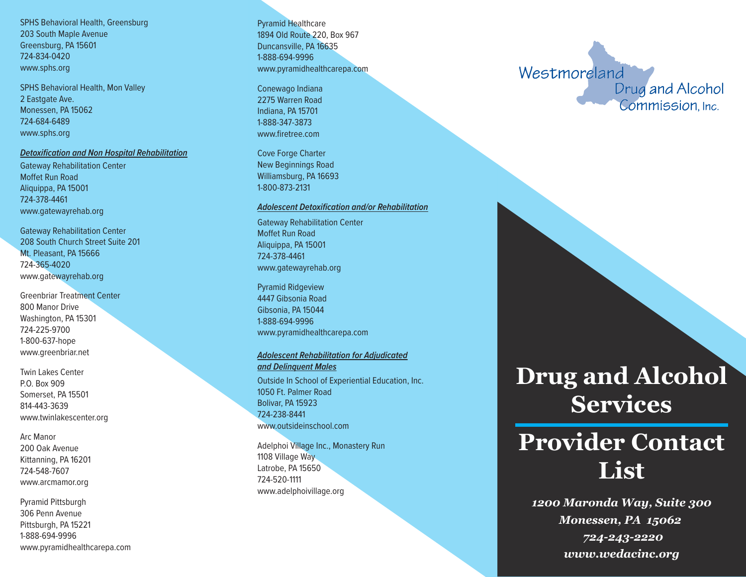SPHS Behavioral Health, Greensburg 203 South Maple Avenue Greensburg, PA 15601 724-834-0420 www.sphs.org

SPHS Behavioral Health, Mon Valley 2 Eastgate Ave. Monessen, PA 15062 724-684-6489 www.sphs.org

### *Detoxification and Non Hospital Rehabilitation*

Gateway Rehabilitation Center Moffet Run Road Aliquippa, PA 15001 724-378-4461 www.gatewayrehab.org

Gateway Rehabilitation Center 208 South Church Street Suite 201 Mt. Pleasant, PA 15666 724-365-4020 www.gatewayrehab.org

Greenbriar Treatment Center 800 Manor Drive Washington, PA 15301 724-225-9700 1-800-637-hope www.greenbriar.net

Twin Lakes Center P.O. Box 909 Somerset, PA 15501 814-443-3639 www.twinlakescenter.org

Arc Manor 200 Oak Avenue Kittanning, PA 16201 724-548-7607 www.arcmamor.org

Pyramid Pittsburgh 306 Penn Avenue Pittsburgh, PA 15221 1-888-694-9996 www.pyramidhealthcarepa.com

Pyramid Healthcare 1894 Old Route 220, Box 967 Duncansville, PA 16635 1-888-694-9996 www.pyramidhealthcarepa.com

Conewago Indiana 2275 Warren Road Indiana, PA 15701 1-888-347-3873 www.firetree.com

Cove Forge Charter New Beginnings Road Williamsburg, PA 16693 1-800-873-2131

#### *Adolescent Detoxification and/or Rehabilitation*

Gateway Rehabilitation Center Moffet Run Road Aliquippa, PA 15001 724-378-4461 www.gatewayrehab.org

Pyramid Ridgeview 4447 Gibsonia Road Gibsonia, PA 15044 1-888-694-9996 www.pyramidhealthcarepa.com

### *Adolescent Rehabilitation for Adjudicated and Delinquent Males*

Outside In School of Experiential Education, Inc. 1050 Ft. Palmer Road Bolivar, PA 15923 724-238-8441 www.outsideinschool.com

Adelphoi Village Inc., Monastery Run 1108 Village Way Latrobe, PA 15650 724-520-1111 www.adelphoivillage.org

Westmoreland

Drug and Alcohol Commission. Inc.

## **Drug and Alcohol Services**

# **Provider Contact List**

*1200 Maronda Way, Suite 300 Monessen, PA 15062 724-243-2220 www.wedacinc.org*